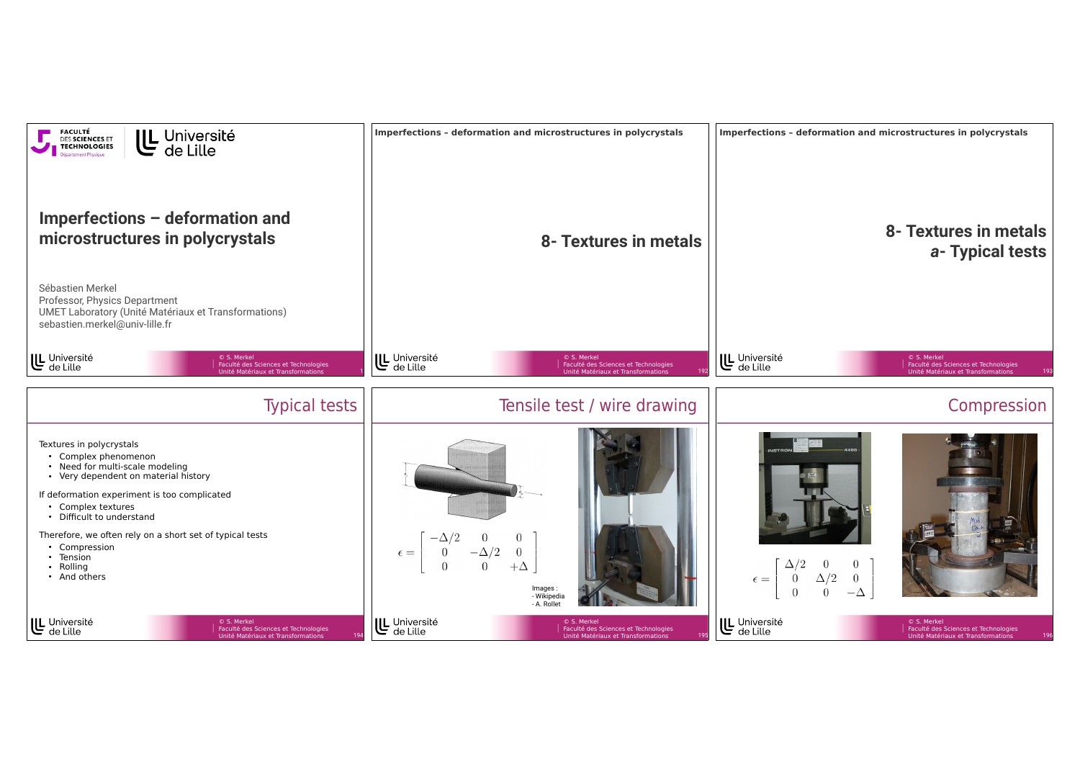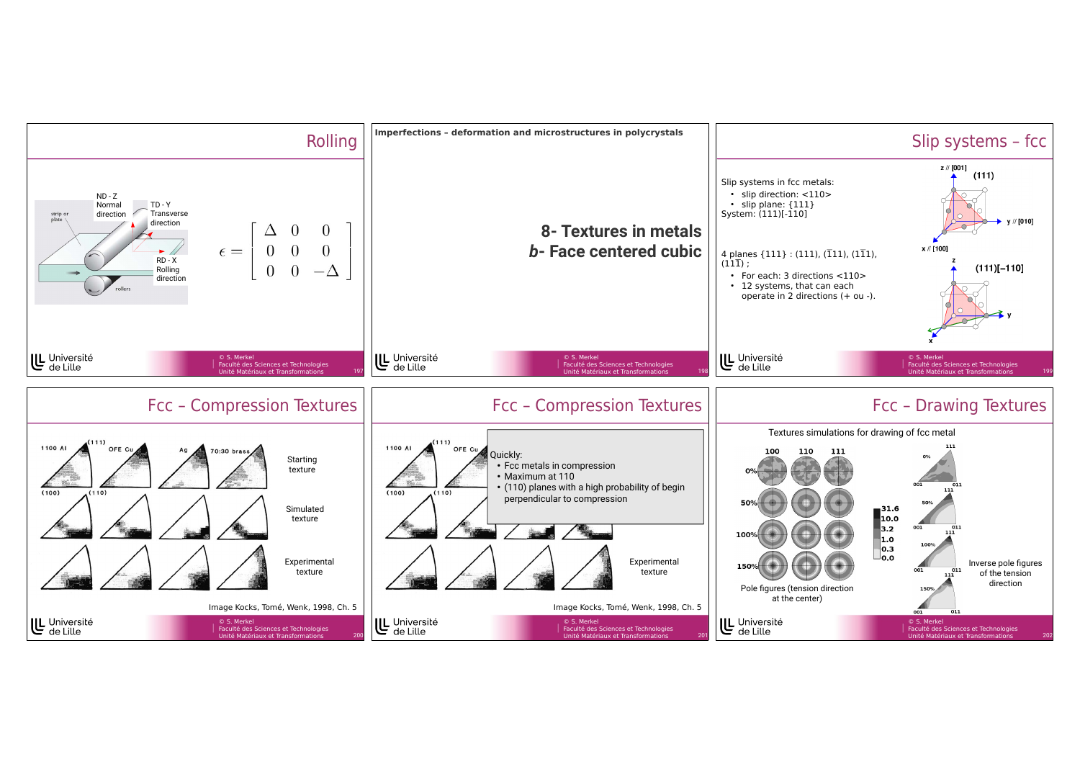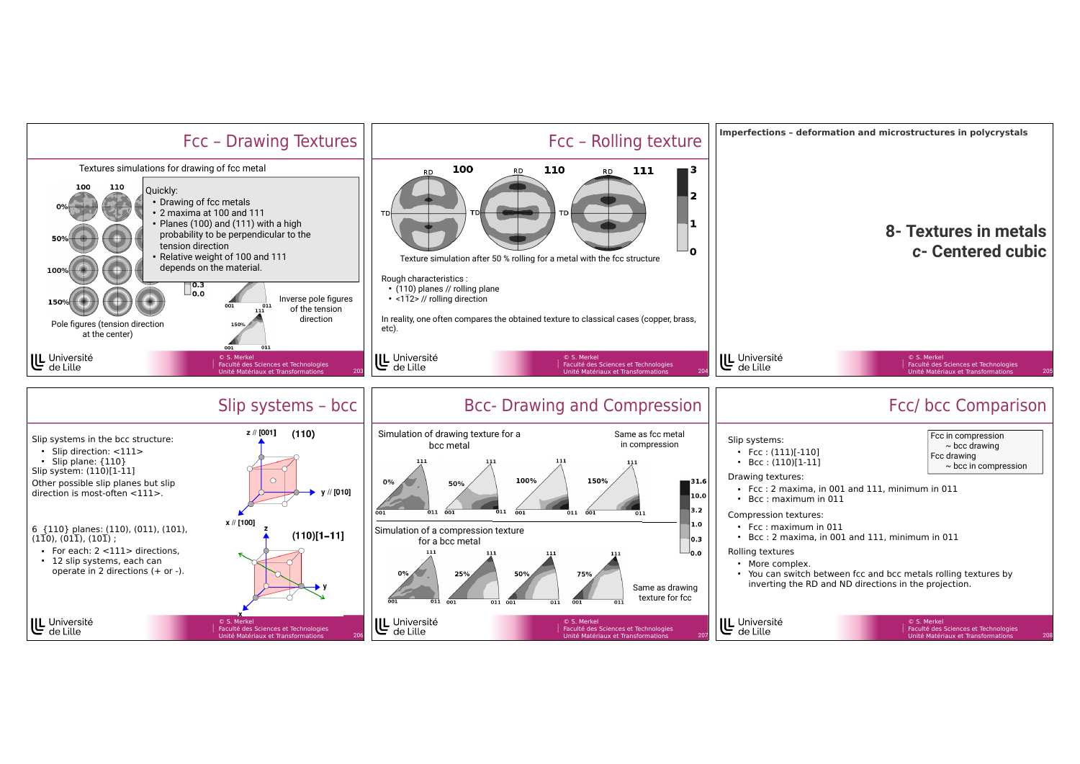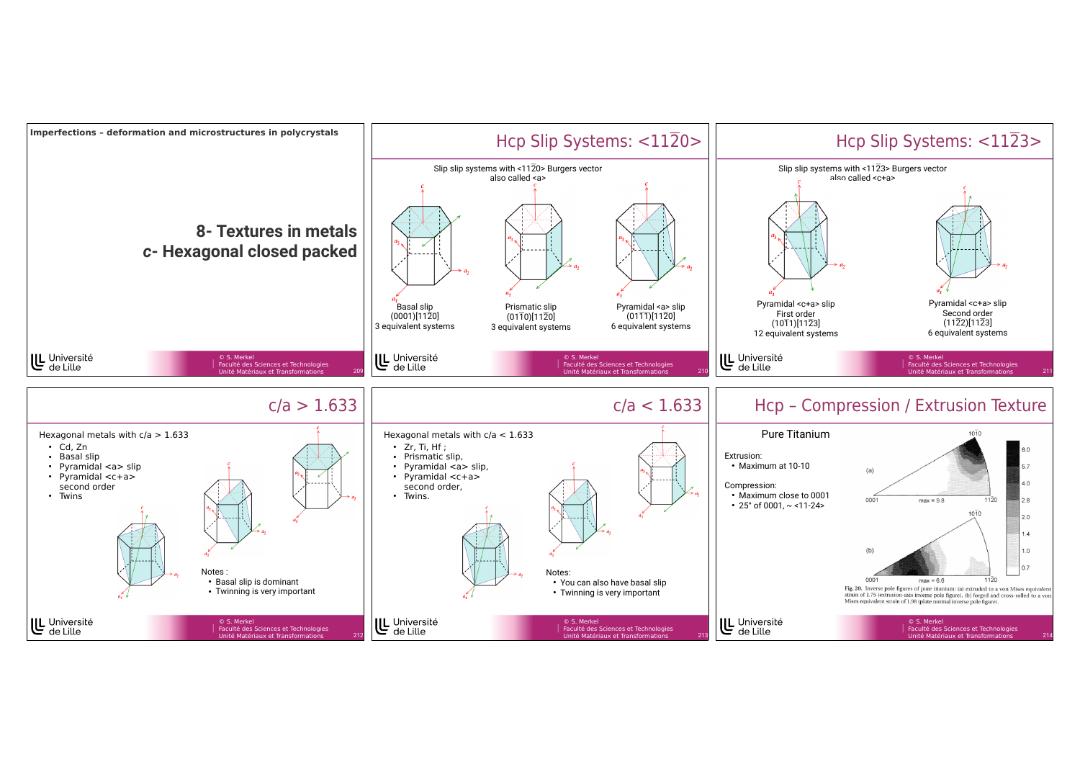